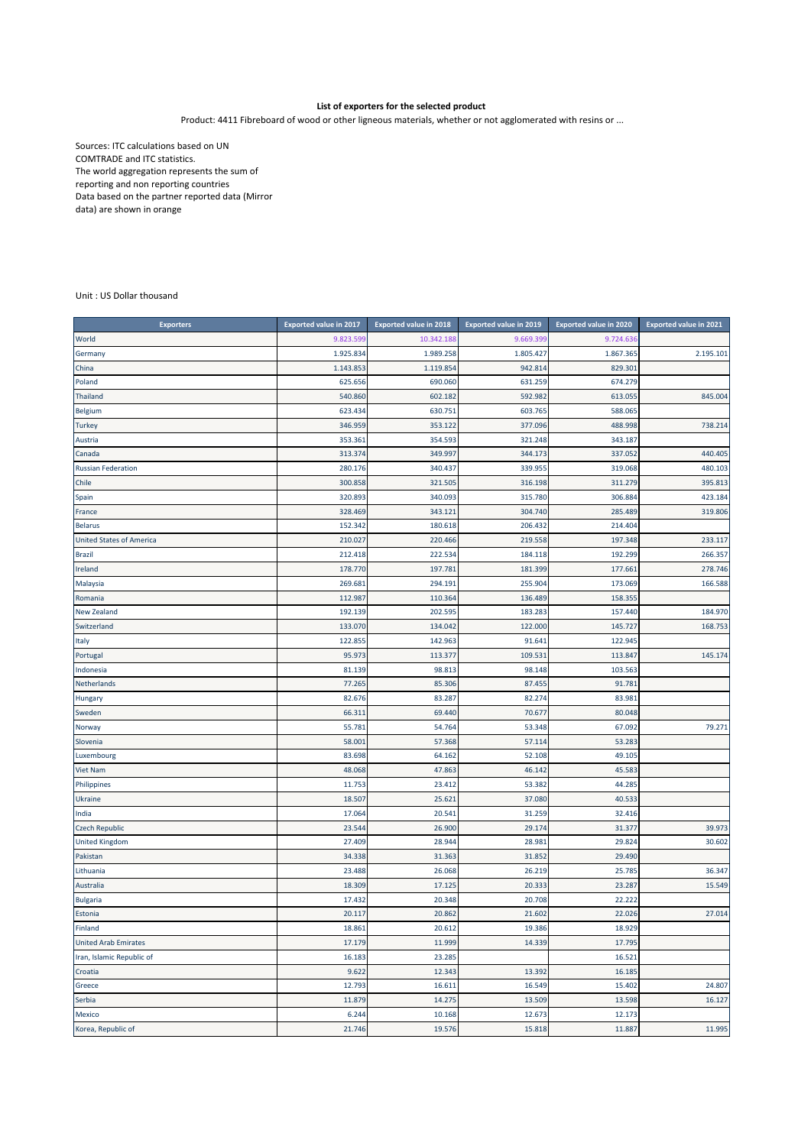## **List of exporters for the selected product**

Product: 4411 Fibreboard of wood or other ligneous materials, whether or not agglomerated with resins or ...

Sources: ITC calculations based on UN COMTRADE and ITC statistics. The world aggregation represents the sum of reporting and non reporting countries Data based on the partner reported data (Mirror data) are shown in orange

Unit : US Dollar thousand

| <b>Exporters</b>                | <b>Exported value in 2017</b> | <b>Exported value in 2018</b> | <b>Exported value in 2019</b> | <b>Exported value in 2020</b> | <b>Exported value in 2021</b> |
|---------------------------------|-------------------------------|-------------------------------|-------------------------------|-------------------------------|-------------------------------|
| World                           | 9.823.599                     | 10.342.18                     | 9.669.399                     | 9.724.636                     |                               |
| Germany                         | 1.925.834                     | 1.989.258                     | 1.805.427                     | 1.867.365                     | 2.195.101                     |
| China                           | 1.143.853                     | 1.119.854                     | 942.814                       | 829.301                       |                               |
| Poland                          | 625.656                       | 690.060                       | 631.259                       | 674.279                       |                               |
| Thailand                        | 540.860                       | 602.182                       | 592.982                       | 613.055                       | 845.004                       |
| <b>Belgium</b>                  | 623.434                       | 630.751                       | 603.765                       | 588.065                       |                               |
| <b>Turkey</b>                   | 346.959                       | 353.122                       | 377.096                       | 488.998                       | 738.214                       |
| Austria                         | 353.361                       | 354.593                       | 321.248                       | 343.187                       |                               |
| Canada                          | 313.374                       | 349.997                       | 344.173                       | 337.052                       | 440.405                       |
| <b>Russian Federation</b>       | 280.176                       | 340.437                       | 339.955                       | 319.068                       | 480.103                       |
| Chile                           | 300.858                       | 321.505                       | 316.198                       | 311.279                       | 395.813                       |
| Spain                           | 320.893                       | 340.093                       | 315.780                       | 306.884                       | 423.184                       |
| France                          | 328.469                       | 343.121                       | 304.740                       | 285.489                       | 319.806                       |
| <b>Belarus</b>                  | 152.342                       | 180.618                       | 206.432                       | 214.404                       |                               |
| <b>United States of America</b> | 210.027                       | 220.466                       | 219.558                       | 197.348                       | 233.117                       |
| <b>Brazil</b>                   | 212.418                       | 222.534                       | 184.118                       | 192.299                       | 266.357                       |
| Ireland                         | 178.770                       | 197.781                       | 181.399                       | 177.661                       | 278.746                       |
| Malaysia                        | 269.681                       | 294.191                       | 255.904                       | 173.069                       | 166.588                       |
| Romania                         | 112.987                       | 110.364                       | 136.489                       | 158.355                       |                               |
| New Zealand                     | 192.139                       | 202.595                       | 183.283                       | 157.440                       | 184.970                       |
| Switzerland                     | 133.070                       | 134.042                       | 122.000                       | 145.727                       | 168.753                       |
| Italy                           | 122.855                       | 142.963                       | 91.641                        | 122.945                       |                               |
| Portugal                        | 95.973                        | 113.377                       | 109.531                       | 113.847                       | 145.174                       |
| Indonesia                       | 81.139                        | 98.813                        | 98.148                        | 103.563                       |                               |
| Netherlands                     | 77.265                        | 85.306                        | 87.455                        | 91.781                        |                               |
| Hungary                         | 82.676                        | 83.287                        | 82.274                        | 83.981                        |                               |
| Sweden                          | 66.311                        | 69.440                        | 70.677                        | 80.048                        |                               |
| Norway                          | 55.781                        | 54.764                        | 53.348                        | 67.092                        | 79.271                        |
| Slovenia                        | 58.001                        | 57.368                        | 57.114                        | 53.283                        |                               |
| Luxembourg                      | 83.698                        | 64.162                        | 52.108                        | 49.105                        |                               |
| Viet Nam                        | 48.068                        | 47.863                        | 46.142                        | 45.583                        |                               |
| Philippines                     | 11.753                        | 23.412                        | 53.382                        | 44.285                        |                               |
| Ukraine                         | 18.507                        | 25.621                        | 37.080                        | 40.533                        |                               |
| India                           | 17.064                        | 20.541                        | 31.259                        | 32.416                        |                               |
| <b>Czech Republic</b>           | 23.544                        | 26.900                        | 29.174                        | 31.377                        | 39.973                        |
| <b>United Kingdom</b>           | 27.409                        | 28.944                        | 28.981                        | 29.824                        | 30.602                        |
| Pakistan                        | 34.338                        | 31.363                        | 31.852                        | 29.490                        |                               |
| Lithuania                       | 23.488                        | 26.068                        | 26.219                        | 25.785                        | 36.347                        |
| Australia                       | 18.309                        | 17.125                        | 20.333                        | 23.287                        | 15.549                        |
| <b>Bulgaria</b>                 | 17.432                        | 20.348                        | 20.708                        | 22.222                        |                               |
| Estonia                         | 20.117                        | 20.862                        | 21.602                        | 22.026                        | 27.014                        |
| Finland                         | 18.861                        | 20.612                        | 19.386                        | 18.925                        |                               |
| <b>United Arab Emirates</b>     | 17.179                        | 11.999                        | 14.339                        | 17.795                        |                               |
| Iran, Islamic Republic of       | 16.183                        | 23.285                        |                               | 16.521                        |                               |
| Croatia                         | 9.622                         | 12.343                        | 13.392                        | 16.185                        |                               |
| Greece                          | 12.793                        | 16.611                        | 16.549                        | 15.402                        | 24.807                        |
| Serbia                          | 11.879                        | 14.275                        | 13.509                        | 13.598                        | 16.127                        |
| Mexico                          | 6.244                         | 10.168                        | 12.673                        | 12.173                        |                               |
| Korea, Republic of              | 21.746                        | 19.576                        | 15.818                        | 11.887                        | 11.995                        |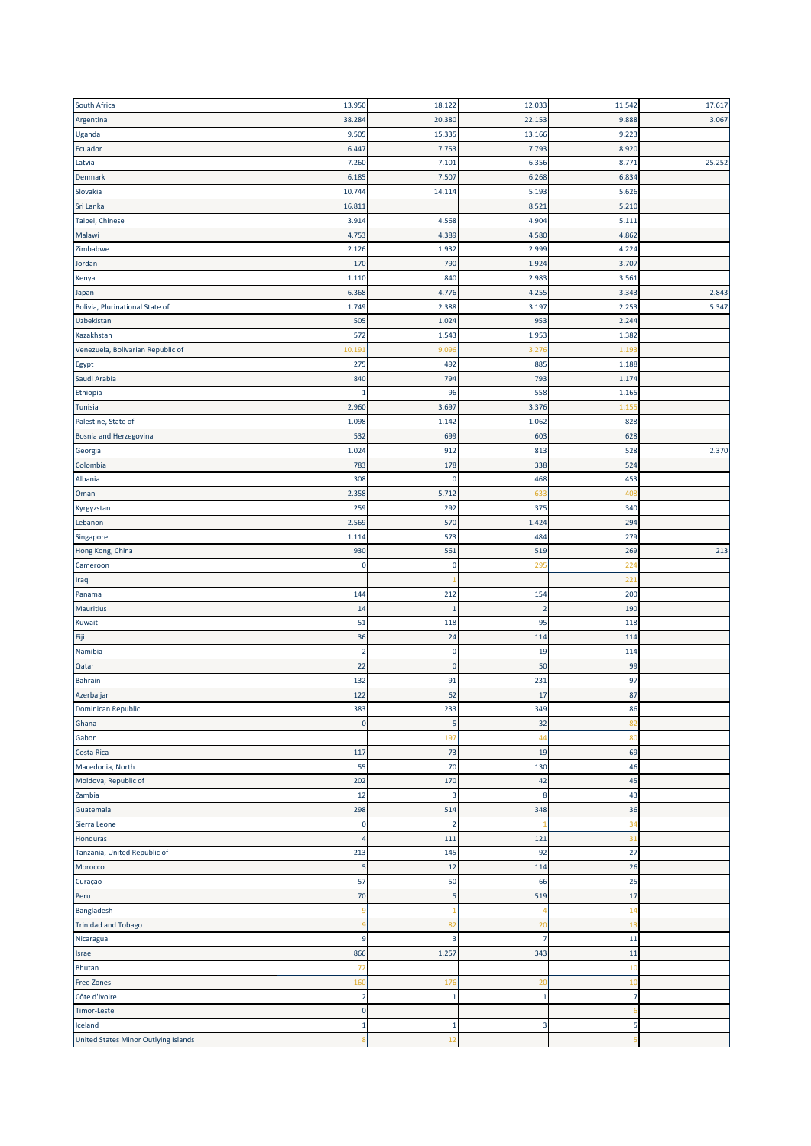| South Africa                                                                                                                                                       | 13.950         | 18.122         | 12.033         | 11.542         | 17.617 |
|--------------------------------------------------------------------------------------------------------------------------------------------------------------------|----------------|----------------|----------------|----------------|--------|
| Argentina                                                                                                                                                          | 38.284         | 20.380         | 22.153         | 9.888          | 3.067  |
| Uganda                                                                                                                                                             | 9.505          | 15.335         | 13.166         | 9.223          |        |
| Ecuador                                                                                                                                                            | 6.447          | 7.753          | 7.793          | 8.920          |        |
| Latvia                                                                                                                                                             | 7.260          | 7.101          | 6.356          | 8.771          | 25.252 |
| Denmark                                                                                                                                                            | 6.185          | 7.507          | 6.268          | 6.834          |        |
| Slovakia                                                                                                                                                           | 10.744         | 14.114         | 5.193          | 5.626          |        |
| Sri Lanka                                                                                                                                                          | 16.811         |                | 8.521          | 5.210          |        |
|                                                                                                                                                                    | 3.914          | 4.568          | 4.904          | 5.111          |        |
| Taipei, Chinese<br>Malawi                                                                                                                                          | 4.753          | 4.389          | 4.580          | 4.862          |        |
|                                                                                                                                                                    |                |                |                |                |        |
| Zimbabwe                                                                                                                                                           | 2.126          | 1.932          | 2.999          | 4.224          |        |
| Jordan                                                                                                                                                             | 170            | 790            | 1.924          | 3.707          |        |
| Kenya                                                                                                                                                              | 1.110          | 840            | 2.983          | 3.561          |        |
| Japan                                                                                                                                                              | 6.368          | 4.776          | 4.255          | 3.343          | 2.843  |
| Bolivia, Plurinational State of                                                                                                                                    | 1.749          | 2.388          | 3.197          | 2.253          | 5.347  |
| Uzbekistan                                                                                                                                                         | 505            | 1.024          | 953            | 2.244          |        |
| Kazakhstan                                                                                                                                                         | 572            | 1.543          | 1.953          | 1.382          |        |
| Venezuela, Bolivarian Republic of                                                                                                                                  | 10.19          | 9.09           | 3.276          | 1.19           |        |
| Egypt                                                                                                                                                              | 275            | 492            | 885            | 1.188          |        |
| Saudi Arabia                                                                                                                                                       | 840            | 794            | 793            | 1.174          |        |
| Ethiopia                                                                                                                                                           | -1             | 96             | 558            | 1.165          |        |
| Tunisia                                                                                                                                                            | 2.960          | 3.697          | 3.376          | 1.15           |        |
| Palestine, State of                                                                                                                                                | 1.098          | 1.142          | 1.062          | 828            |        |
| Bosnia and Herzegovina                                                                                                                                             | 532            | 699            | 603            | 628            |        |
| Georgia                                                                                                                                                            | 1.024          | 912            | 813            | 528            | 2.370  |
| Colombia                                                                                                                                                           | 783            | 178            | 338            | 524            |        |
| Albania                                                                                                                                                            | 308            | 0              | 468            | 453            |        |
| Oman                                                                                                                                                               | 2.358          | 5.712          | 633            | 408            |        |
| Kyrgyzstan                                                                                                                                                         | 259            | 292            | 375            | 340            |        |
| Lebanon                                                                                                                                                            | 2.569          | 570            | 1.424          | 294            |        |
| Singapore                                                                                                                                                          | 1.114          | 573            | 484            | 279            |        |
| Hong Kong, China                                                                                                                                                   | 930            | 561            | 519            | 269            | 213    |
| Cameroon                                                                                                                                                           | C              | 0              | 295            | 224            |        |
| Iraq                                                                                                                                                               |                |                |                | 221            |        |
| Panama                                                                                                                                                             | 144            | 212            | 154            | 200            |        |
| <b>Mauritius</b>                                                                                                                                                   | 14             | 1              | $\overline{2}$ | 190            |        |
| Kuwait                                                                                                                                                             | 51             | 118            | 95             | 118            |        |
| Fiji                                                                                                                                                               | 36             | 24             | 114            | 114            |        |
| Namibia                                                                                                                                                            |                |                |                |                |        |
|                                                                                                                                                                    | $\overline{2}$ | $\mathbf 0$    | 19             | 114            |        |
|                                                                                                                                                                    | 22             | $\mathbf 0$    |                |                |        |
| Qatar                                                                                                                                                              |                |                | 50             | 99             |        |
| Bahrain                                                                                                                                                            | 132<br>122     | 91             | 231<br>17      | 97             |        |
|                                                                                                                                                                    |                | 62             |                | 87             |        |
|                                                                                                                                                                    | 383            | 233            | 349            | 86             |        |
| Ghana                                                                                                                                                              | $\mathbf 0$    | 5              | 32             | 82             |        |
| Gabon                                                                                                                                                              |                | 197            | 44             | 80             |        |
|                                                                                                                                                                    | 117            | 73             | 19             | 69             |        |
| Macedonia, North                                                                                                                                                   | 55             | 70             | 130            | 46             |        |
|                                                                                                                                                                    | 202            | 170            | 42             | 45             |        |
|                                                                                                                                                                    | 12             | 3              | 8              | 43             |        |
|                                                                                                                                                                    | 298            | 514            | 348            | 36             |        |
| Sierra Leone                                                                                                                                                       | $\mathbf 0$    | $\overline{2}$ | -1             | 34             |        |
|                                                                                                                                                                    | 4              | 111            | 121            | 31             |        |
| Tanzania, United Republic of                                                                                                                                       | 213            | 145            | 92             | 27             |        |
| Morocco                                                                                                                                                            | 5              | 12             | 114            | 26             |        |
| Curaçao                                                                                                                                                            | 57             | 50             | 66             | 25             |        |
| Peru                                                                                                                                                               | 70             | 5              | 519            | 17             |        |
|                                                                                                                                                                    | 9              |                | 4              | 14             |        |
|                                                                                                                                                                    |                | 82             | 20             | 13             |        |
| Azerbaijan<br>Dominican Republic<br>Costa Rica<br>Moldova, Republic of<br>Zambia<br>Guatemala<br>Honduras<br>Bangladesh<br><b>Trinidad and Tobago</b><br>Nicaragua | 9              | 3              | $\overline{7}$ | 11             |        |
| Israel                                                                                                                                                             | 866            | 1.257          | 343            | 11             |        |
| Bhutan                                                                                                                                                             | 72             |                |                | 10             |        |
| <b>Free Zones</b>                                                                                                                                                  | 160            | 176            | 20             | 1(             |        |
| Côte d'Ivoire                                                                                                                                                      | $\overline{2}$ | 1              | $\mathbf{1}$   | $\overline{7}$ |        |
| <b>Timor-Leste</b>                                                                                                                                                 | $\pmb{0}$      |                |                |                |        |
| Iceland<br>United States Minor Outlying Islands                                                                                                                    | $\mathbf{1}$   | 1<br>12        | 3              | 5              |        |